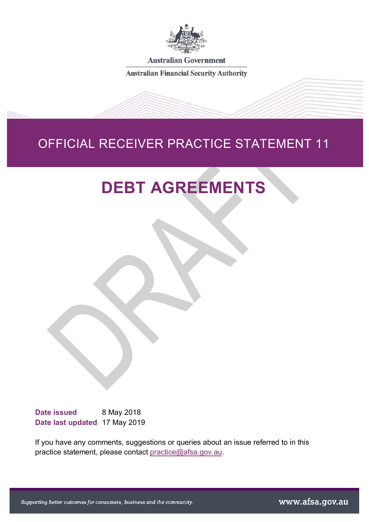

**Australian Government** 

**Australian Financial Security Authority** 

# OFFICIAL RECEIVER PRACTICE STATEMENT 11

# **DEBT AGREEMENTS**

Date issued 8 May 2018 **Date last updated** 17 May 2019

If you have any comments, suggestions or queries about an issue referred to in this practice statement, please contact [practice@afsa.gov.au.](mailto:practice@afsa.gov.au?subject=ORPS3%20%E2%80%93%20Bankruptcy%20by%20sequestration%20order)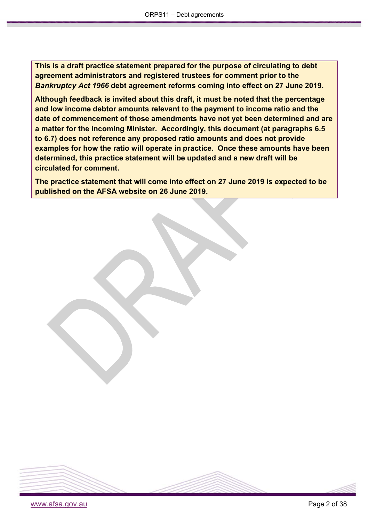**This is a draft practice statement prepared for the purpose of circulating to debt agreement administrators and registered trustees for comment prior to the**  *Bankruptcy Act 1966* **debt agreement reforms coming into effect on 27 June 2019.**

**Although feedback is invited about this draft, it must be noted that the percentage and low income debtor amounts relevant to the payment to income ratio and the date of commencement of those amendments have not yet been determined and are a matter for the incoming Minister. Accordingly, this document (at paragraphs 6.5 to 6.7) does not reference any proposed ratio amounts and does not provide examples for how the ratio will operate in practice. Once these amounts have been determined, this practice statement will be updated and a new draft will be circulated for comment.**

**The practice statement that will come into effect on 27 June 2019 is expected to be published on the AFSA website on 26 June 2019.**

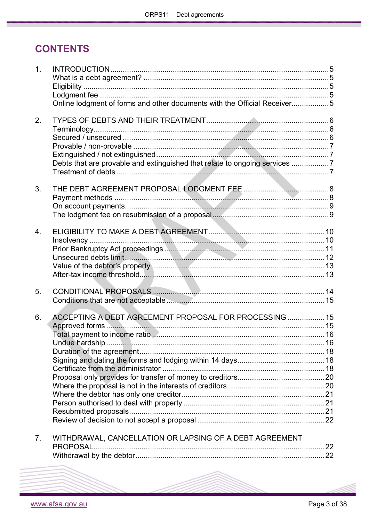# **CONTENTS**

| 1.               | Online lodgment of forms and other documents with the Official Receiver5   |  |
|------------------|----------------------------------------------------------------------------|--|
| 2.               | Debts that are provable and extinguished that relate to ongoing services 7 |  |
| 3.               |                                                                            |  |
| $\overline{4}$ . |                                                                            |  |
| 5.               |                                                                            |  |
| 6.               | ACCEPTING A DEBT AGREEMENT PROPOSAL FOR PROCESSING 15                      |  |
| 7 <sub>1</sub>   | WITHDRAWAL, CANCELLATION OR LAPSING OF A DEBT AGREEMENT<br><b>PROPOSAL</b> |  |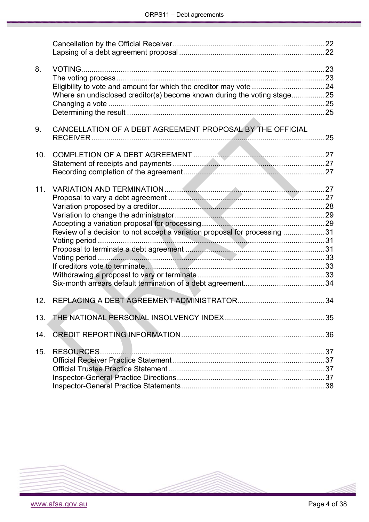| 8.  |                                                                           |  |
|-----|---------------------------------------------------------------------------|--|
|     | Where an undisclosed creditor(s) become known during the voting stage25   |  |
|     |                                                                           |  |
| 9.  | CANCELLATION OF A DEBT AGREEMENT PROPOSAL BY THE OFFICIAL                 |  |
| 10. |                                                                           |  |
|     |                                                                           |  |
|     |                                                                           |  |
| 11. |                                                                           |  |
|     |                                                                           |  |
|     |                                                                           |  |
|     |                                                                           |  |
|     |                                                                           |  |
|     | Review of a decision to not accept a variation proposal for processing 31 |  |
|     |                                                                           |  |
|     |                                                                           |  |
|     |                                                                           |  |
|     |                                                                           |  |
|     |                                                                           |  |
|     |                                                                           |  |
| 12. |                                                                           |  |
| 13. |                                                                           |  |
| 14. |                                                                           |  |
| 15. | RESOURCES.                                                                |  |
|     |                                                                           |  |
|     |                                                                           |  |
|     |                                                                           |  |
|     |                                                                           |  |

<span id="page-3-0"></span>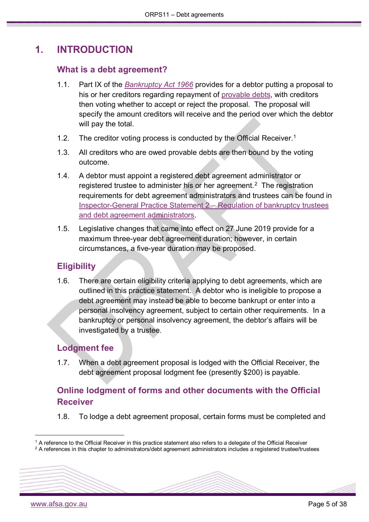# <span id="page-4-0"></span>**1. INTRODUCTION**

### **What is a debt agreement?**

- 1.1. Part IX of the *[Bankruptcy Act 1966](https://www.legislation.gov.au/Series/C1966A00033)* provides for a debtor putting a proposal to his or her creditors regarding repayment of [provable debts,](#page-6-0) with creditors then voting whether to accept or reject the proposal. The proposal will specify the amount creditors will receive and the period over which the debtor will pay the total.
- [1](#page-4-4).2. The creditor voting process is conducted by the Official Receiver.<sup>1</sup>
- 1.3. All creditors who are owed provable debts are then bound by the voting outcome.
- 1.4. A debtor must appoint a registered debt agreement administrator or registered trustee to administer his or her agreement.<sup>[2](#page-4-5)</sup> The registration requirements for debt agreement administrators and trustees can be found in [Inspector-General Practice Statement 2 –](https://www.afsa.gov.au/node/2646) Regulation of bankruptcy trustees [and debt agreement administrators.](https://www.afsa.gov.au/node/2646)
- 1.5. Legislative changes that came into effect on 27 June 2019 provide for a maximum three-year debt agreement duration; however, in certain circumstances, a five-year duration may be proposed.

### <span id="page-4-1"></span>**Eligibility**

1.6. There are certain eligibility criteria applying to debt agreements, which are outlined in this practice statement. A debtor who is ineligible to propose a debt agreement may instead be able to become bankrupt or enter into a personal insolvency agreement, subject to certain other requirements. In a bankruptcy or personal insolvency agreement, the debtor's affairs will be investigated by a trustee.

### <span id="page-4-2"></span>**Lodgment fee**

1.7. When a debt agreement proposal is lodged with the Official Receiver, the debt agreement proposal lodgment fee (presently \$200) is payable.

### <span id="page-4-3"></span>**Online lodgment of forms and other documents with the Official Receiver**

1.8. To lodge a debt agreement proposal, certain forms must be completed and

<span id="page-4-4"></span> <sup>1</sup> A reference to the Official Receiver in this practice statement also refers to a delegate of the Official Receiver

<span id="page-4-5"></span><sup>&</sup>lt;sup>2</sup> A references in this chapter to administrators/debt agreement administrators includes a registered trustee/trustees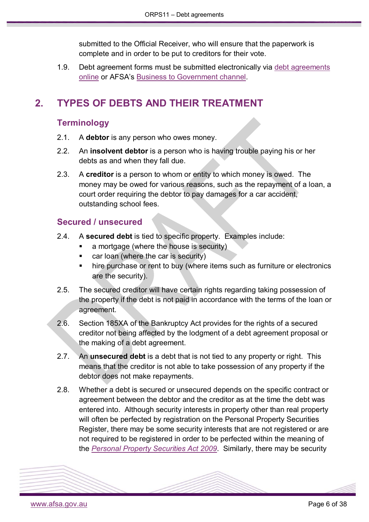submitted to the Official Receiver, who will ensure that the paperwork is complete and in order to be put to creditors for their vote.

1.9. Debt agreement forms must be submitted electronically via [debt agreements](https://www.afsa.gov.au/online-services/debt-agreements-online)  [online](https://www.afsa.gov.au/online-services/debt-agreements-online) or AFSA's Business to [Government channel.](https://www.afsa.gov.au/online-services/b2g-system-integration)

## <span id="page-5-1"></span><span id="page-5-0"></span>**2. TYPES OF DEBTS AND THEIR TREATMENT**

### **Terminology**

- 2.1. A **debtor** is any person who owes money.
- 2.2. An **insolvent debtor** is a person who is having trouble paying his or her debts as and when they fall due.
- 2.3. A **creditor** is a person to whom or entity to which money is owed. The money may be owed for various reasons, such as the repayment of a loan, a court order requiring the debtor to pay damages for a car accident, outstanding school fees.

### <span id="page-5-2"></span>**Secured / unsecured**

- 2.4. A **secured debt** is tied to specific property. Examples include:
	- a mortgage (where the house is security)
	- **car loan (where the car is security)**
	- hire purchase or rent to buy (where items such as furniture or electronics are the security).
- 2.5. The secured creditor will have certain rights regarding taking possession of the property if the debt is not paid in accordance with the terms of the loan or agreement.
- 2.6. Section 185XA of the Bankruptcy Act provides for the rights of a secured creditor not being affected by the lodgment of a debt agreement proposal or the making of a debt agreement.
- 2.7. An **unsecured debt** is a debt that is not tied to any property or right. This means that the creditor is not able to take possession of any property if the debtor does not make repayments.
- 2.8. Whether a debt is secured or unsecured depends on the specific contract or agreement between the debtor and the creditor as at the time the debt was entered into. Although security interests in property other than real property will often be perfected by registration on the Personal Property Securities Register, there may be some security interests that are not registered or are not required to be registered in order to be perfected within the meaning of the *[Personal Property Securities Act 2009](https://www.legislation.gov.au/Series/C2009A00130)*. Similarly, there may be security

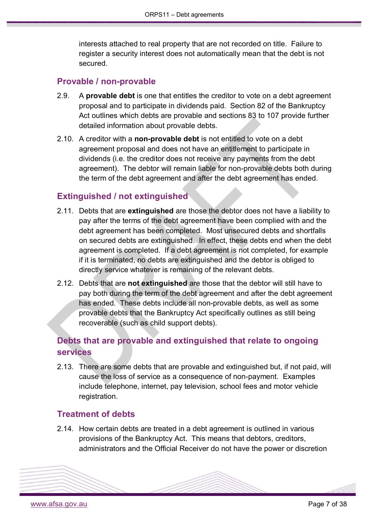interests attached to real property that are not recorded on title. Failure to register a security interest does not automatically mean that the debt is not secured.

### <span id="page-6-0"></span>**Provable / non-provable**

- 2.9. A **provable debt** is one that entitles the creditor to vote on a debt agreement proposal and to participate in dividends paid. Section 82 of the Bankruptcy Act outlines which debts are provable and sections 83 to 107 provide further detailed information about provable debts.
- 2.10. A creditor with a **non-provable debt** is not entitled to vote on a debt agreement proposal and does not have an entitlement to participate in dividends (i.e. the creditor does not receive any payments from the debt agreement). The debtor will remain liable for non-provable debts both during the term of the debt agreement and after the debt agreement has ended.

### <span id="page-6-1"></span>**Extinguished / not extinguished**

- 2.11. Debts that are **extinguished** are those the debtor does not have a liability to pay after the terms of the debt agreement have been complied with and the debt agreement has been completed. Most unsecured debts and shortfalls on secured debts are extinguished. In effect, these debts end when the debt agreement is completed. If a debt agreement is not completed, for example if it is terminated, no debts are extinguished and the debtor is obliged to directly service whatever is remaining of the relevant debts.
- 2.12. Debts that are **not extinguished** are those that the debtor will still have to pay both during the term of the debt agreement and after the debt agreement has ended. These debts include all non-provable debts, as well as some provable debts that the Bankruptcy Act specifically outlines as still being recoverable (such as child support debts).

### <span id="page-6-2"></span>**Debts that are provable and extinguished that relate to ongoing services**

2.13. There are some debts that are provable and extinguished but, if not paid, will cause the loss of service as a consequence of non-payment. Examples include telephone, internet, pay television, school fees and motor vehicle registration.

#### <span id="page-6-3"></span>**Treatment of debts**

2.14. How certain debts are treated in a debt agreement is outlined in various provisions of the Bankruptcy Act. This means that debtors, creditors, administrators and the Official Receiver do not have the power or discretion

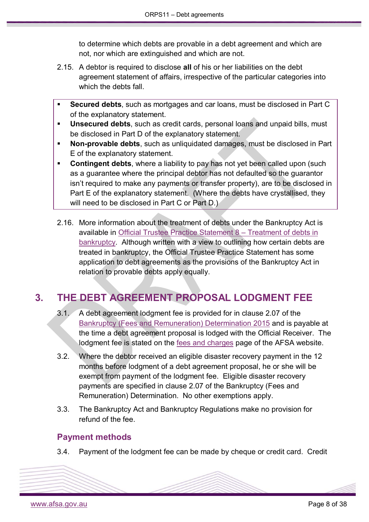to determine which debts are provable in a debt agreement and which are not, nor which are extinguished and which are not.

- 2.15. A debtor is required to disclose **all** of his or her liabilities on the debt agreement statement of affairs, irrespective of the particular categories into which the debts fall
- **Secured debts**, such as mortgages and car loans, must be disclosed in Part C of the explanatory statement.
- **Unsecured debts**, such as credit cards, personal loans and unpaid bills, must be disclosed in Part D of the explanatory statement.
- **Non-provable debts**, such as unliquidated damages, must be disclosed in Part E of the explanatory statement.
- **Contingent debts**, where a liability to pay has not yet been called upon (such as a guarantee where the principal debtor has not defaulted so the guarantor isn't required to make any payments or transfer property), are to be disclosed in Part E of the explanatory statement. (Where the debts have crystallised, they will need to be disclosed in Part C or Part D.)
- 2.16. More information about the treatment of debts under the Bankruptcy Act is available in [Official Trustee Practice Statement 8 –](https://www.afsa.gov.au/sites/g/files/net1601/f/otps8.pdf) Treatment of debts in [bankruptcy.](https://www.afsa.gov.au/sites/g/files/net1601/f/otps8.pdf) Although written with a view to outlining how certain debts are treated in bankruptcy, the Official Trustee Practice Statement has some application to debt agreements as the provisions of the Bankruptcy Act in relation to provable debts apply equally.

# <span id="page-7-0"></span>**3. THE DEBT AGREEMENT PROPOSAL LODGMENT FEE**

- 3.1. A debt agreement lodgment fee is provided for in clause 2.07 of the Bankruptcy [\(Fees and Remuneration\) Determination 2015](https://www.legislation.gov.au/Details/F2015L00680) and is payable at the time a debt agreement proposal is lodged with the Official Receiver. The lodgment fee is stated on the [fees and charges](https://www.afsa.gov.au/insolvency/how-we-can-help/fees-and-charges-0) page of the AFSA website.
- 3.2. Where the debtor received an eligible disaster recovery payment in the 12 months before lodgment of a debt agreement proposal, he or she will be exempt from payment of the lodgment fee. Eligible disaster recovery payments are specified in clause 2.07 of the Bankruptcy (Fees and Remuneration) Determination. No other exemptions apply.
- 3.3. The Bankruptcy Act and Bankruptcy Regulations make no provision for refund of the fee.

### <span id="page-7-1"></span>**Payment methods**

3.4. Payment of the lodgment fee can be made by cheque or credit card. Credit

[www.afsa.gov.au](http://www.afsa.gov.au/) Page 8 of 38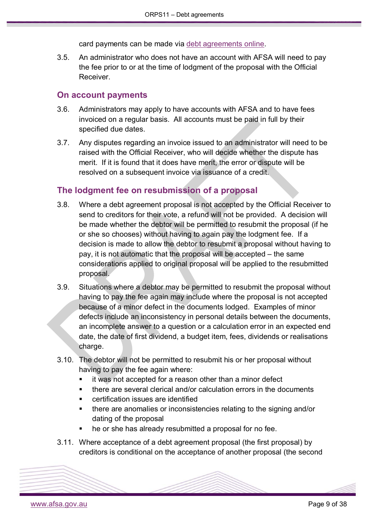card payments can be made via [debt agreements online.](https://www.afsa.gov.au/online-services/debt-agreements-online)

3.5. An administrator who does not have an account with AFSA will need to pay the fee prior to or at the time of lodgment of the proposal with the Official Receiver.

#### <span id="page-8-0"></span>**On account payments**

- 3.6. Administrators may apply to have accounts with AFSA and to have fees invoiced on a regular basis. All accounts must be paid in full by their specified due dates.
- 3.7. Any disputes regarding an invoice issued to an administrator will need to be raised with the Official Receiver, who will decide whether the dispute has merit. If it is found that it does have merit, the error or dispute will be resolved on a subsequent invoice via issuance of a credit.

### <span id="page-8-1"></span>**The lodgment fee on resubmission of a proposal**

- 3.8. Where a debt agreement proposal is not accepted by the Official Receiver to send to creditors for their vote, a refund will not be provided. A decision will be made whether the debtor will be permitted to resubmit the proposal (if he or she so chooses) without having to again pay the lodgment fee. If a decision is made to allow the debtor to resubmit a proposal without having to pay, it is not automatic that the proposal will be accepted – the same considerations applied to original proposal will be applied to the resubmitted proposal.
- 3.9. Situations where a debtor may be permitted to resubmit the proposal without having to pay the fee again may include where the proposal is not accepted because of a minor defect in the documents lodged. Examples of minor defects include an inconsistency in personal details between the documents, an incomplete answer to a question or a calculation error in an expected end date, the date of first dividend, a budget item, fees, dividends or realisations charge.
- 3.10. The debtor will not be permitted to resubmit his or her proposal without having to pay the fee again where:
	- it was not accepted for a reason other than a minor defect
	- there are several clerical and/or calculation errors in the documents
	- certification issues are identified
	- there are anomalies or inconsistencies relating to the signing and/or dating of the proposal
	- he or she has already resubmitted a proposal for no fee.
- 3.11. Where acceptance of a debt agreement proposal (the first proposal) by creditors is conditional on the acceptance of another proposal (the second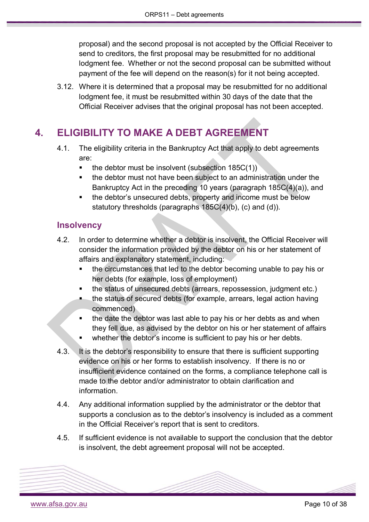proposal) and the second proposal is not accepted by the Official Receiver to send to creditors, the first proposal may be resubmitted for no additional lodgment fee. Whether or not the second proposal can be submitted without payment of the fee will depend on the reason(s) for it not being accepted.

3.12. Where it is determined that a proposal may be resubmitted for no additional lodgment fee, it must be resubmitted within 30 days of the date that the Official Receiver advises that the original proposal has not been accepted.

# <span id="page-9-0"></span>**4. ELIGIBILITY TO MAKE A DEBT AGREEMENT**

- 4.1. The eligibility criteria in the Bankruptcy Act that apply to debt agreements are:
	- $\blacksquare$  the debtor must be insolvent (subsection 185C(1))
	- the debtor must not have been subject to an administration under the Bankruptcy Act in the preceding 10 years (paragraph 185C(4)(a)), and
	- the debtor's unsecured debts, property and income must be below statutory thresholds (paragraphs 185C(4)(b), (c) and (d)).

### <span id="page-9-1"></span>**Insolvency**

- 4.2. In order to determine whether a debtor is insolvent, the Official Receiver will consider the information provided by the debtor on his or her statement of affairs and explanatory statement, including:
	- the circumstances that led to the debtor becoming unable to pay his or her debts (for example, loss of employment)
	- the status of unsecured debts (arrears, repossession, judgment etc.)
	- the status of secured debts (for example, arrears, legal action having commenced)
	- the date the debtor was last able to pay his or her debts as and when they fell due, as advised by the debtor on his or her statement of affairs
	- whether the debtor's income is sufficient to pay his or her debts.
- 4.3. It is the debtor's responsibility to ensure that there is sufficient supporting evidence on his or her forms to establish insolvency. If there is no or insufficient evidence contained on the forms, a compliance telephone call is made to the debtor and/or administrator to obtain clarification and information.
- 4.4. Any additional information supplied by the administrator or the debtor that supports a conclusion as to the debtor's insolvency is included as a comment in the Official Receiver's report that is sent to creditors.
- <span id="page-9-2"></span>4.5. If sufficient evidence is not available to support the conclusion that the debtor is insolvent, the debt agreement proposal will not be accepted.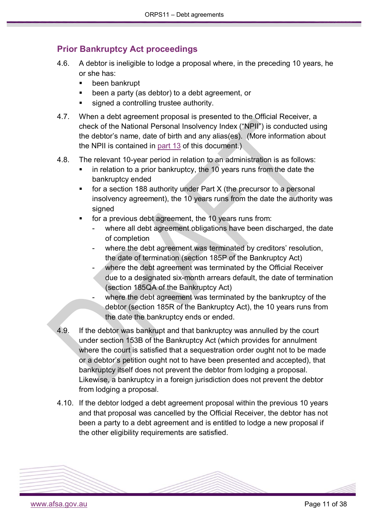### **Prior Bankruptcy Act proceedings**

- 4.6. A debtor is ineligible to lodge a proposal where, in the preceding 10 years, he or she has:
	- been bankrupt
	- been a party (as debtor) to a debt agreement, or
	- signed a controlling trustee authority.
- 4.7. When a debt agreement proposal is presented to the Official Receiver, a check of the National Personal Insolvency Index ("NPII") is conducted using the debtor's name, date of birth and any alias(es). (More information about the NPII is contained in [part 13](#page-34-0) of this document.)
- 4.8. The relevant 10-year period in relation to an administration is as follows:
	- in relation to a prior bankruptcy, the 10 years runs from the date the bankruptcy ended
	- for a section 188 authority under Part X (the precursor to a personal insolvency agreement), the 10 years runs from the date the authority was signed
	- for a previous debt agreement, the 10 years runs from:
		- where all debt agreement obligations have been discharged, the date of completion
		- where the debt agreement was terminated by creditors' resolution, the date of termination (section 185P of the Bankruptcy Act)
		- where the debt agreement was terminated by the Official Receiver due to a designated six-month arrears default, the date of termination (section 185QA of the Bankruptcy Act)
		- where the debt agreement was terminated by the bankruptcy of the debtor (section 185R of the Bankruptcy Act), the 10 years runs from the date the bankruptcy ends or ended.
- 4.9. If the debtor was bankrupt and that bankruptcy was annulled by the court under section [153B](http://www.austlii.edu.au/au/legis/cth/consol_act/ba1966142/s153b.html) of the Bankruptcy Act (which provides for annulment where the court is satisfied that a sequestration order ought not to be made or a debtor's petition ought not to have been presented and accepted), that bankruptcy itself does not prevent the debtor from lodging a proposal. Likewise, a bankruptcy in a foreign jurisdiction does not prevent the debtor from lodging a proposal.
- 4.10. If the debtor lodged a debt agreement proposal within the previous 10 years and that proposal was cancelled by the Official Receiver, the debtor has not been a party to a debt agreement and is entitled to lodge a new proposal if the other eligibility requirements are satisfied.

<span id="page-10-0"></span>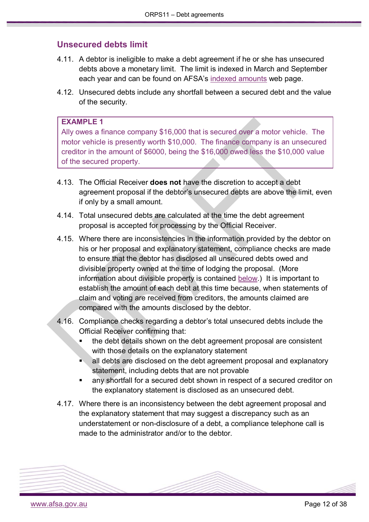### **Unsecured debts limit**

- 4.11. A debtor is ineligible to make a debt agreement if he or she has unsecured debts above a monetary limit. The limit is indexed in March and September each year and can be found on AFSA's [indexed amounts](https://www.afsa.gov.au/insolvency/how-we-can-help/indexed-amounts-0) web page.
- 4.12. Unsecured debts include any shortfall between a secured debt and the value of the security.

#### **EXAMPLE 1**

Ally owes a finance company \$16,000 that is secured over a motor vehicle. The motor vehicle is presently worth \$10,000. The finance company is an unsecured creditor in the amount of \$6000, being the \$16,000 owed less the \$10,000 value of the secured property.

- 4.13. The Official Receiver **does not** have the discretion to accept a debt agreement proposal if the debtor's unsecured debts are above the limit, even if only by a small amount.
- 4.14. Total unsecured debts are calculated at the time the debt agreement proposal is accepted for processing by the Official Receiver.
- 4.15. Where there are inconsistencies in the information provided by the debtor on his or her proposal and explanatory statement, compliance checks are made to ensure that the debtor has disclosed all unsecured debts owed and divisible property owned at the time of lodging the proposal. (More information about divisible property is contained [below.](#page-12-1)) It is important to establish the amount of each debt at this time because, when statements of claim and voting are received from creditors, the amounts claimed are compared with the amounts disclosed by the debtor.
- 4.16. Compliance checks regarding a debtor's total unsecured debts include the Official Receiver confirming that:
	- the debt details shown on the debt agreement proposal are consistent with those details on the explanatory statement
	- all debts are disclosed on the debt agreement proposal and explanatory statement, including debts that are not provable
	- any shortfall for a secured debt shown in respect of a secured creditor on the explanatory statement is disclosed as an unsecured debt.
- 4.17. Where there is an inconsistency between the debt agreement proposal and the explanatory statement that may suggest a discrepancy such as an understatement or non-disclosure of a debt, a compliance telephone call is made to the administrator and/or to the debtor.

<span id="page-11-0"></span>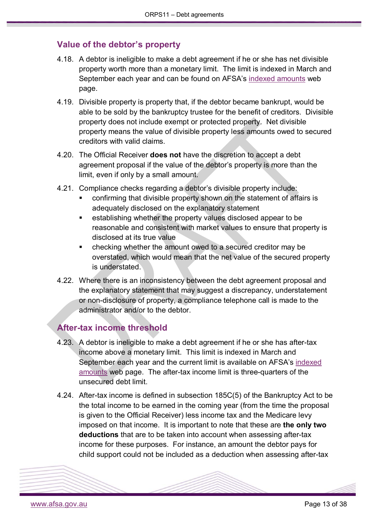### <span id="page-12-1"></span>**Value of the debtor's property**

- 4.18. A debtor is ineligible to make a debt agreement if he or she has net divisible property worth more than a monetary limit. The limit is indexed in March and September each year and can be found on AFSA's [indexed amounts](https://www.afsa.gov.au/insolvency/how-we-can-help/indexed-amounts-0) web page.
- 4.19. Divisible property is property that, if the debtor became bankrupt, would be able to be sold by the bankruptcy trustee for the benefit of creditors. Divisible property does not include exempt or protected property. Net divisible property means the value of divisible property less amounts owed to secured creditors with valid claims.
- 4.20. The Official Receiver **does not** have the discretion to accept a debt agreement proposal if the value of the debtor's property is more than the limit, even if only by a small amount.
- 4.21. Compliance checks regarding a debtor's divisible property include:
	- confirming that divisible property shown on the statement of affairs is adequately disclosed on the explanatory statement
	- establishing whether the property values disclosed appear to be reasonable and consistent with market values to ensure that property is disclosed at its true value
	- checking whether the amount owed to a secured creditor may be overstated, which would mean that the net value of the secured property is understated.
- 4.22. Where there is an inconsistency between the debt agreement proposal and the explanatory statement that may suggest a discrepancy, understatement or non-disclosure of property, a compliance telephone call is made to the administrator and/or to the debtor.

#### <span id="page-12-0"></span>**After-tax income threshold**

- 4.23. A debtor is ineligible to make a debt agreement if he or she has after-tax income above a monetary limit. This limit is indexed in March and September each year and the current limit is available on AFSA's [indexed](https://www.afsa.gov.au/insolvency/how-we-can-help/indexed-amounts-0)  [amounts](https://www.afsa.gov.au/insolvency/how-we-can-help/indexed-amounts-0) web page. The after-tax income limit is three-quarters of the unsecured debt limit.
- 4.24. After-tax income is defined in subsection 185C(5) of the Bankruptcy Act to be the total income to be earned in the coming year (from the time the proposal is given to the Official Receiver) less income tax and the Medicare levy imposed on that income. It is important to note that these are **the only two deductions** that are to be taken into account when assessing after-tax income for these purposes. For instance, an amount the debtor pays for child support could not be included as a deduction when assessing after-tax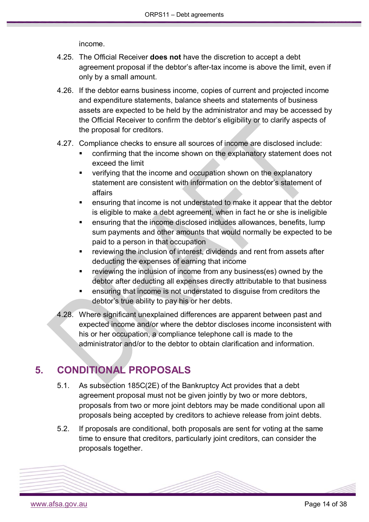income.

- 4.25. The Official Receiver **does not** have the discretion to accept a debt agreement proposal if the debtor's after-tax income is above the limit, even if only by a small amount.
- 4.26. If the debtor earns business income, copies of current and projected income and expenditure statements, balance sheets and statements of business assets are expected to be held by the administrator and may be accessed by the Official Receiver to confirm the debtor's eligibility or to clarify aspects of the proposal for creditors.
- 4.27. Compliance checks to ensure all sources of income are disclosed include:
	- confirming that the income shown on the explanatory statement does not exceed the limit
	- verifying that the income and occupation shown on the explanatory statement are consistent with information on the debtor's statement of affairs
	- ensuring that income is not understated to make it appear that the debtor is eligible to make a debt agreement, when in fact he or she is ineligible
	- ensuring that the income disclosed includes allowances, benefits, lump sum payments and other amounts that would normally be expected to be paid to a person in that occupation
	- reviewing the inclusion of interest, dividends and rent from assets after deducting the expenses of earning that income
	- **Fig. 2** reviewing the inclusion of income from any business(es) owned by the debtor after deducting all expenses directly attributable to that business
	- ensuring that income is not understated to disguise from creditors the debtor's true ability to pay his or her debts.
- 4.28. Where significant unexplained differences are apparent between past and expected income and/or where the debtor discloses income inconsistent with his or her occupation, a compliance telephone call is made to the administrator and/or to the debtor to obtain clarification and information.

# <span id="page-13-0"></span>**5. CONDITIONAL PROPOSALS**

- 5.1. As subsection 185C(2E) of the Bankruptcy Act provides that a debt agreement proposal must not be given jointly by two or more debtors, proposals from two or more joint debtors may be made conditional upon all proposals being accepted by creditors to achieve release from joint debts.
- 5.2. If proposals are conditional, both proposals are sent for voting at the same time to ensure that creditors, particularly joint creditors, can consider the proposals together.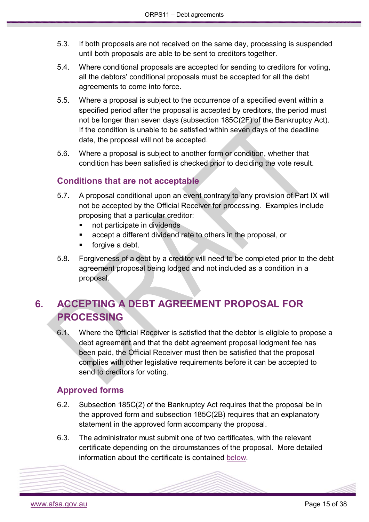- 5.3. If both proposals are not received on the same day, processing is suspended until both proposals are able to be sent to creditors together.
- 5.4. Where conditional proposals are accepted for sending to creditors for voting, all the debtors' conditional proposals must be accepted for all the debt agreements to come into force.
- 5.5. Where a proposal is subject to the occurrence of a specified event within a specified period after the proposal is accepted by creditors, the period must not be longer than seven days (subsection 185C(2F) of the Bankruptcy Act). If the condition is unable to be satisfied within seven days of the deadline date, the proposal will not be accepted.
- 5.6. Where a proposal is subject to another form or condition, whether that condition has been satisfied is checked prior to deciding the vote result.

### <span id="page-14-0"></span>**Conditions that are not acceptable**

- 5.7. A proposal conditional upon an event contrary to any provision of Part IX will not be accepted by the Official Receiver for processing. Examples include proposing that a particular creditor:
	- **not participate in dividends**
	- accept a different dividend rate to others in the proposal, or
	- forgive a debt.
- 5.8. Forgiveness of a debt by a creditor will need to be completed prior to the debt agreement proposal being lodged and not included as a condition in a proposal.

# <span id="page-14-1"></span>**6. ACCEPTING A DEBT AGREEMENT PROPOSAL FOR PROCESSING**

6.1. Where the Official Receiver is satisfied that the debtor is eligible to propose a debt agreement and that the debt agreement proposal lodgment fee has been paid, the Official Receiver must then be satisfied that the proposal complies with other legislative requirements before it can be accepted to send to creditors for voting.

### <span id="page-14-2"></span>**Approved forms**

- 6.2. Subsection 185C(2) of the Bankruptcy Act requires that the proposal be in the approved form and subsection 185C(2B) requires that an explanatory statement in the approved form accompany the proposal.
- 6.3. The administrator must submit one of two certificates, with the relevant certificate depending on the circumstances of the proposal. More detailed information about the certificate is contained [below.](#page-17-2)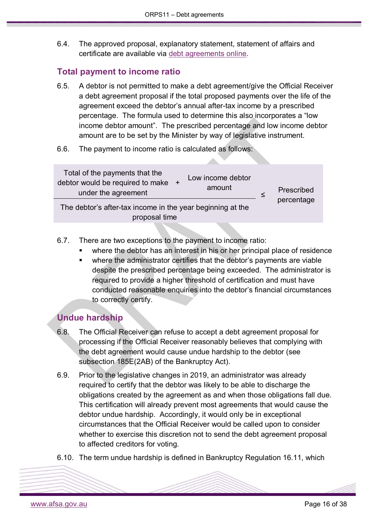6.4. The approved proposal, explanatory statement, statement of affairs and certificate are available via [debt agreements online.](https://www.afsa.gov.au/online-services/debt-agreements-online)

### <span id="page-15-0"></span>**Total payment to income ratio**

- 6.5. A debtor is not permitted to make a debt agreement/give the Official Receiver a debt agreement proposal if the total proposed payments over the life of the agreement exceed the debtor's annual after-tax income by a prescribed percentage. The formula used to determine this also incorporates a "low income debtor amount". The prescribed percentage and low income debtor amount are to be set by the Minister by way of legislative instrument.
- 6.6. The payment to income ratio is calculated as follows:



- 6.7. There are two exceptions to the payment to income ratio:
	- where the debtor has an interest in his or her principal place of residence
	- where the administrator certifies that the debtor's payments are viable despite the prescribed percentage being exceeded. The administrator is required to provide a higher threshold of certification and must have conducted reasonable enquiries into the debtor's financial circumstances to correctly certify.

### <span id="page-15-1"></span>**Undue hardship**

- 6.8. The Official Receiver can refuse to accept a debt agreement proposal for processing if the Official Receiver reasonably believes that complying with the debt agreement would cause undue hardship to the debtor (see subsection 185E(2AB) of the Bankruptcy Act).
- 6.9. Prior to the legislative changes in 2019, an administrator was already required to certify that the debtor was likely to be able to discharge the obligations created by the agreement as and when those obligations fall due. This certification will already prevent most agreements that would cause the debtor undue hardship. Accordingly, it would only be in exceptional circumstances that the Official Receiver would be called upon to consider whether to exercise this discretion not to send the debt agreement proposal to affected creditors for voting.
- 6.10. The term undue hardship is defined in Bankruptcy Regulation 16.11, which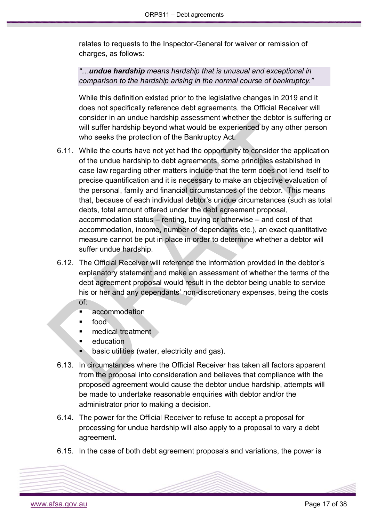relates to requests to the Inspector-General for waiver or remission of charges, as follows:

*"…undue hardship means hardship that is unusual and exceptional in comparison to the hardship arising in the normal course of bankruptcy."*

While this definition existed prior to the legislative changes in 2019 and it does not specifically reference debt agreements, the Official Receiver will consider in an undue hardship assessment whether the debtor is suffering or will suffer hardship beyond what would be experienced by any other person who seeks the protection of the Bankruptcy Act.

- 6.11. While the courts have not yet had the opportunity to consider the application of the undue hardship to debt agreements, some principles established in case law regarding other matters include that the term does not lend itself to precise quantification and it is necessary to make an objective evaluation of the personal, family and financial circumstances of the debtor. This means that, because of each individual debtor's unique circumstances (such as total debts, total amount offered under the debt agreement proposal, accommodation status – renting, buying or otherwise – and cost of that accommodation, income, number of dependants etc.), an exact quantitative measure cannot be put in place in order to determine whether a debtor will suffer undue hardship.
- 6.12. The Official Receiver will reference the information provided in the debtor's explanatory statement and make an assessment of whether the terms of the debt agreement proposal would result in the debtor being unable to service his or her and any dependants' non-discretionary expenses, being the costs of:
	- **accommodation**
	- food
	- medical treatment
	- education
	- basic utilities (water, electricity and gas).
- 6.13. In circumstances where the Official Receiver has taken all factors apparent from the proposal into consideration and believes that compliance with the proposed agreement would cause the debtor undue hardship, attempts will be made to undertake reasonable enquiries with debtor and/or the administrator prior to making a decision.
- 6.14. The power for the Official Receiver to refuse to accept a proposal for processing for undue hardship will also apply to a proposal to vary a debt agreement.
- 6.15. In the case of both debt agreement proposals and variations, the power is

[www.afsa.gov.au](http://www.afsa.gov.au/) **Page 17** of 38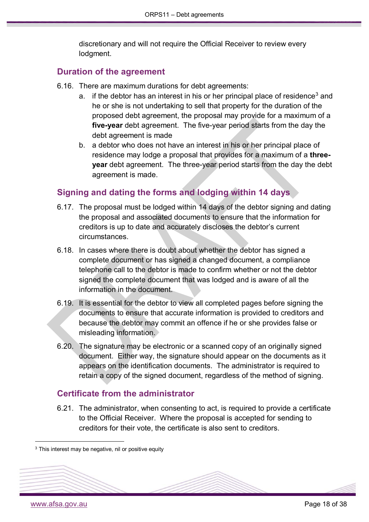discretionary and will not require the Official Receiver to review every lodgment.

### <span id="page-17-0"></span>**Duration of the agreement**

- 6.16. There are maximum durations for debt agreements:
	- a. if the debtor has an interest in his or her principal place of residence<sup>[3](#page-17-3)</sup> and he or she is not undertaking to sell that property for the duration of the proposed debt agreement, the proposal may provide for a maximum of a **five-year** debt agreement. The five-year period starts from the day the debt agreement is made
	- b. a debtor who does not have an interest in his or her principal place of residence may lodge a proposal that provides for a maximum of a **threeyear** debt agreement. The three-year period starts from the day the debt agreement is made.

### <span id="page-17-1"></span>**Signing and dating the forms and lodging within 14 days**

- 6.17. The proposal must be lodged within 14 days of the debtor signing and dating the proposal and associated documents to ensure that the information for creditors is up to date and accurately discloses the debtor's current circumstances.
- 6.18. In cases where there is doubt about whether the debtor has signed a complete document or has signed a changed document, a compliance telephone call to the debtor is made to confirm whether or not the debtor signed the complete document that was lodged and is aware of all the information in the document.
- 6.19. It is essential for the debtor to view all completed pages before signing the documents to ensure that accurate information is provided to creditors and because the debtor may commit an offence if he or she provides false or misleading information.
- 6.20. The signature may be electronic or a scanned copy of an originally signed document. Either way, the signature should appear on the documents as it appears on the identification documents. The administrator is required to retain a copy of the signed document, regardless of the method of signing.

### <span id="page-17-2"></span>**Certificate from the administrator**

6.21. The administrator, when consenting to act, is required to provide a certificate to the Official Receiver. Where the proposal is accepted for sending to creditors for their vote, the certificate is also sent to creditors.

<span id="page-17-3"></span><sup>&</sup>lt;sup>3</sup> This interest may be negative, nil or positive equity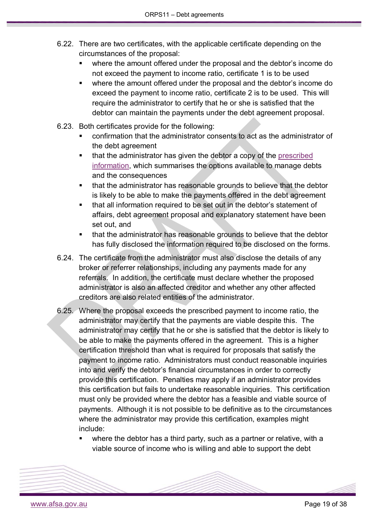- 6.22. There are two certificates, with the applicable certificate depending on the circumstances of the proposal:
	- where the amount offered under the proposal and the debtor's income do not exceed the payment to income ratio, certificate 1 is to be used
	- where the amount offered under the proposal and the debtor's income do exceed the payment to income ratio, certificate 2 is to be used. This will require the administrator to certify that he or she is satisfied that the debtor can maintain the payments under the debt agreement proposal.
- 6.23. Both certificates provide for the following:
	- confirmation that the administrator consents to act as the administrator of the debt agreement
	- that the administrator has given the debtor a copy of the prescribed [information,](https://www.afsa.gov.au/sites/g/files/net1601/f/forms/prescribed_information.pdf) which summarises the options available to manage debts and the consequences
	- that the administrator has reasonable grounds to believe that the debtor is likely to be able to make the payments offered in the debt agreement
	- that all information required to be set out in the debtor's statement of affairs, debt agreement proposal and explanatory statement have been set out, and
	- that the administrator has reasonable grounds to believe that the debtor has fully disclosed the information required to be disclosed on the forms.
- 6.24. The certificate from the administrator must also disclose the details of any broker or referrer relationships, including any payments made for any referrals. In addition, the certificate must declare whether the proposed administrator is also an affected creditor and whether any other affected creditors are also related entities of the administrator.
- 6.25. Where the proposal exceeds the prescribed payment to income ratio, the administrator may certify that the payments are viable despite this. The administrator may certify that he or she is satisfied that the debtor is likely to be able to make the payments offered in the agreement. This is a higher certification threshold than what is required for proposals that satisfy the payment to income ratio. Administrators must conduct reasonable inquiries into and verify the debtor's financial circumstances in order to correctly provide this certification. Penalties may apply if an administrator provides this certification but fails to undertake reasonable inquiries. This certification must only be provided where the debtor has a feasible and viable source of payments. Although it is not possible to be definitive as to the circumstances where the administrator may provide this certification, examples might include:
	- where the debtor has a third party, such as a partner or relative, with a viable source of income who is willing and able to support the debt

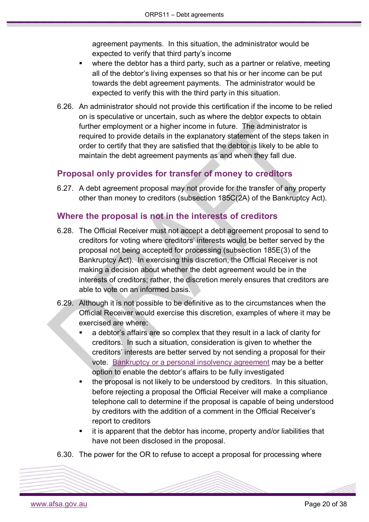agreement payments. In this situation, the administrator would be expected to verify that third party's income

- where the debtor has a third party, such as a partner or relative, meeting all of the debtor's living expenses so that his or her income can be put towards the debt agreement payments. The administrator would be expected to verify this with the third party in this situation.
- 6.26. An administrator should not provide this certification if the income to be relied on is speculative or uncertain, such as where the debtor expects to obtain further employment or a higher income in future. The administrator is required to provide details in the explanatory statement of the steps taken in order to certify that they are satisfied that the debtor is likely to be able to maintain the debt agreement payments as and when they fall due.

### <span id="page-19-0"></span>**Proposal only provides for transfer of money to creditors**

6.27. A debt agreement proposal may not provide for the transfer of any property other than money to creditors (subsection 185C(2A) of the Bankruptcy Act).

### <span id="page-19-1"></span>**Where the proposal is not in the interests of creditors**

- 6.28. The Official Receiver must not accept a debt agreement proposal to send to creditors for voting where creditors' interests would be better served by the proposal not being accepted for processing (subsection 185E(3) of the Bankruptcy Act). In exercising this discretion, the Official Receiver is not making a decision about whether the debt agreement would be in the interests of creditors; rather, the discretion merely ensures that creditors are able to vote on an informed basis.
- 6.29. Although it is not possible to be definitive as to the circumstances when the Official Receiver would exercise this discretion, examples of where it may be exercised are where:
	- a debtor's affairs are so complex that they result in a lack of clarity for creditors. In such a situation, consideration is given to whether the creditors' interests are better served by not sending a proposal for their vote. [Bankruptcy or a personal insolvency agreement](https://www.afsa.gov.au/insolvency/i-cant-pay-my-debts/what-are-my-options) may be a better option to enable the debtor's affairs to be fully investigated
	- the proposal is not likely to be understood by creditors. In this situation, before rejecting a proposal the Official Receiver will make a compliance telephone call to determine if the proposal is capable of being understood by creditors with the addition of a comment in the Official Receiver's report to creditors
	- it is apparent that the debtor has income, property and/or liabilities that have not been disclosed in the proposal.
- 6.30. The power for the OR to refuse to accept a proposal for processing where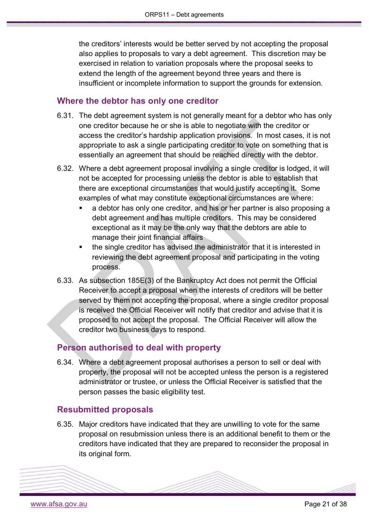the creditors' interests would be better served by not accepting the proposal also applies to proposals to vary a debt agreement. This discretion may be exercised in relation to variation proposals where the proposal seeks to extend the length of the agreement beyond three years and there is insufficient or incomplete information to support the grounds for extension.

### <span id="page-20-0"></span>**Where the debtor has only one creditor**

- 6.31. The debt agreement system is not generally meant for a debtor who has only one creditor because he or she is able to negotiate with the creditor or access the creditor's hardship application provisions. In most cases, it is not appropriate to ask a single participating creditor to vote on something that is essentially an agreement that should be reached directly with the debtor.
- 6.32. Where a debt agreement proposal involving a single creditor is lodged, it will not be accepted for processing unless the debtor is able to establish that there are exceptional circumstances that would justify accepting it. Some examples of what may constitute exceptional circumstances are where:
	- a debtor has only one creditor, and his or her partner is also proposing a debt agreement and has multiple creditors. This may be considered exceptional as it may be the only way that the debtors are able to manage their joint financial affairs
	- the single creditor has advised the administrator that it is interested in reviewing the debt agreement proposal and participating in the voting process.
- 6.33. As subsection 185E(3) of the Bankruptcy Act does not permit the Official Receiver to accept a proposal when the interests of creditors will be better served by them not accepting the proposal, where a single creditor proposal is received the Official Receiver will notify that creditor and advise that it is proposed to not accept the proposal. The Official Receiver will allow the creditor two business days to respond.

### <span id="page-20-1"></span>**Person authorised to deal with property**

6.34. Where a debt agreement proposal authorises a person to sell or deal with property, the proposal will not be accepted unless the person is a registered administrator or trustee, or unless the Official Receiver is satisfied that the person passes the basic eligibility test.

### <span id="page-20-2"></span>**Resubmitted proposals**

6.35. Major creditors have indicated that they are unwilling to vote for the same proposal on resubmission unless there is an additional benefit to them or the creditors have indicated that they are prepared to reconsider the proposal in its original form.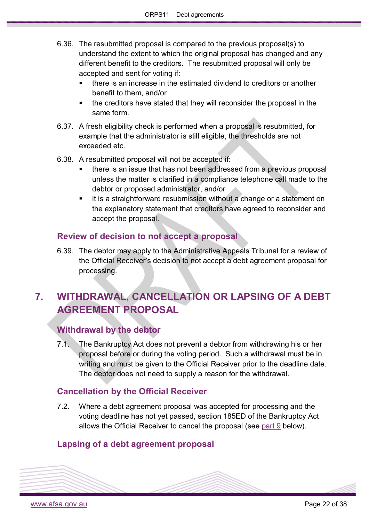- 6.36. The resubmitted proposal is compared to the previous proposal(s) to understand the extent to which the original proposal has changed and any different benefit to the creditors. The resubmitted proposal will only be accepted and sent for voting if:
	- there is an increase in the estimated dividend to creditors or another benefit to them, and/or
	- the creditors have stated that they will reconsider the proposal in the same form.
- 6.37. A fresh eligibility check is performed when a proposal is resubmitted, for example that the administrator is still eligible, the thresholds are not exceeded etc.
- 6.38. A resubmitted proposal will not be accepted if:
	- there is an issue that has not been addressed from a previous proposal unless the matter is clarified in a compliance telephone call made to the debtor or proposed administrator, and/or
	- it is a straightforward resubmission without a change or a statement on the explanatory statement that creditors have agreed to reconsider and accept the proposal.

### <span id="page-21-0"></span>**Review of decision to not accept a proposal**

6.39. The debtor may apply to the Administrative Appeals Tribunal for a review of the Official Receiver's decision to not accept a debt agreement proposal for processing.

# <span id="page-21-1"></span>**7. WITHDRAWAL, CANCELLATION OR LAPSING OF A DEBT AGREEMENT PROPOSAL**

### <span id="page-21-2"></span>**Withdrawal by the debtor**

7.1. The Bankruptcy Act does not prevent a debtor from withdrawing his or her proposal before or during the voting period. Such a withdrawal must be in writing and must be given to the Official Receiver prior to the deadline date. The debtor does not need to supply a reason for the withdrawal.

### <span id="page-21-3"></span>**Cancellation by the Official Receiver**

7.2. Where a debt agreement proposal was accepted for processing and the voting deadline has not yet passed, section 185ED of the Bankruptcy Act allows the Official Receiver to cancel the proposal (see [part 9](#page-24-3) below).

### <span id="page-21-4"></span>**Lapsing of a debt agreement proposal**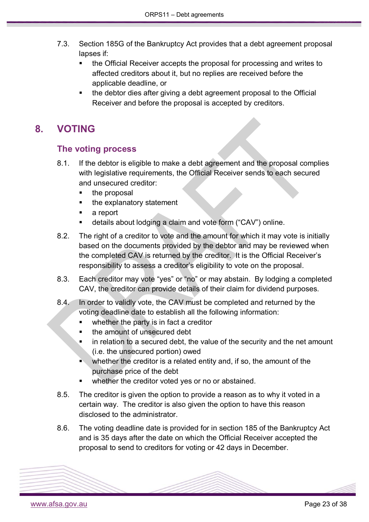- 7.3. Section 185G of the Bankruptcy Act provides that a debt agreement proposal lapses if:
	- the Official Receiver accepts the proposal for processing and writes to affected creditors about it, but no replies are received before the applicable deadline, or
	- the debtor dies after giving a debt agreement proposal to the Official Receiver and before the proposal is accepted by creditors.

# <span id="page-22-1"></span><span id="page-22-0"></span>**8. VOTING**

### **The voting process**

- 8.1. If the debtor is eligible to make a debt agreement and the proposal complies with legislative requirements, the Official Receiver sends to each secured and unsecured creditor:
	- the proposal
	- the explanatory statement
	- a report
	- details about lodging a claim and vote form ("CAV") online.
- 8.2. The right of a creditor to vote and the amount for which it may vote is initially based on the documents provided by the debtor and may be reviewed when the completed CAV is returned by the creditor. It is the Official Receiver's responsibility to assess a creditor's eligibility to vote on the proposal.
- 8.3. Each creditor may vote "yes" or "no" or may abstain. By lodging a completed CAV, the creditor can provide details of their claim for dividend purposes.
- 8.4. In order to validly vote, the CAV must be completed and returned by the voting deadline date to establish all the following information:
	- whether the party is in fact a creditor
	- the amount of unsecured debt
	- in relation to a secured debt, the value of the security and the net amount (i.e. the unsecured portion) owed
	- whether the creditor is a related entity and, if so, the amount of the purchase price of the debt
	- whether the creditor voted yes or no or abstained.
- 8.5. The creditor is given the option to provide a reason as to why it voted in a certain way. The creditor is also given the option to have this reason disclosed to the administrator.
- 8.6. The voting deadline date is provided for in section 185 of the Bankruptcy Act and is 35 days after the date on which the Official Receiver accepted the proposal to send to creditors for voting or 42 days in December.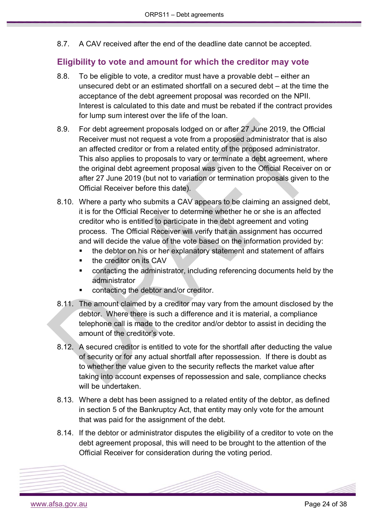8.7. A CAV received after the end of the deadline date cannot be accepted.

### <span id="page-23-0"></span>**Eligibility to vote and amount for which the creditor may vote**

- 8.8. To be eligible to vote, a creditor must have a provable debt either an unsecured debt or an estimated shortfall on a secured debt – at the time the acceptance of the debt agreement proposal was recorded on the NPII. Interest is calculated to this date and must be rebated if the contract provides for lump sum interest over the life of the loan.
- 8.9. For debt agreement proposals lodged on or after 27 June 2019, the Official Receiver must not request a vote from a proposed administrator that is also an affected creditor or from a related entity of the proposed administrator. This also applies to proposals to vary or terminate a debt agreement, where the original debt agreement proposal was given to the Official Receiver on or after 27 June 2019 (but not to variation or termination proposals given to the Official Receiver before this date).
- 8.10. Where a party who submits a CAV appears to be claiming an assigned debt, it is for the Official Receiver to determine whether he or she is an affected creditor who is entitled to participate in the debt agreement and voting process. The Official Receiver will verify that an assignment has occurred and will decide the value of the vote based on the information provided by:
	- the debtor on his or her explanatory statement and statement of affairs
	- the creditor on its CAV
	- contacting the administrator, including referencing documents held by the administrator
	- contacting the debtor and/or creditor.
- 8.11. The amount claimed by a creditor may vary from the amount disclosed by the debtor. Where there is such a difference and it is material, a compliance telephone call is made to the creditor and/or debtor to assist in deciding the amount of the creditor's vote.
- 8.12. A secured creditor is entitled to vote for the shortfall after deducting the value of security or for any actual shortfall after repossession. If there is doubt as to whether the value given to the security reflects the market value after taking into account expenses of repossession and sale, compliance checks will be undertaken.
- 8.13. Where a debt has been assigned to a related entity of the debtor, as defined in section 5 of the Bankruptcy Act, that entity may only vote for the amount that was paid for the assignment of the debt.
- 8.14. If the debtor or administrator disputes the eligibility of a creditor to vote on the debt agreement proposal, this will need to be brought to the attention of the Official Receiver for consideration during the voting period.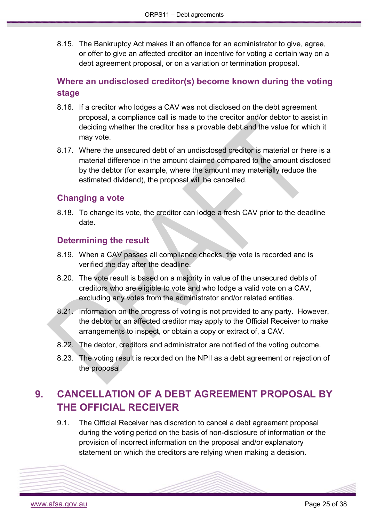8.15. The Bankruptcy Act makes it an offence for an administrator to give, agree, or offer to give an affected creditor an incentive for voting a certain way on a debt agreement proposal, or on a variation or termination proposal.

### <span id="page-24-0"></span>**Where an undisclosed creditor(s) become known during the voting stage**

- 8.16. If a creditor who lodges a CAV was not disclosed on the debt agreement proposal, a compliance call is made to the creditor and/or debtor to assist in deciding whether the creditor has a provable debt and the value for which it may vote.
- 8.17. Where the unsecured debt of an undisclosed creditor is material or there is a material difference in the amount claimed compared to the amount disclosed by the debtor (for example, where the amount may materially reduce the estimated dividend), the proposal will be cancelled.

### <span id="page-24-1"></span>**Changing a vote**

8.18. To change its vote, the creditor can lodge a fresh CAV prior to the deadline date.

### <span id="page-24-2"></span>**Determining the result**

- 8.19. When a CAV passes all compliance checks, the vote is recorded and is verified the day after the deadline.
- 8.20. The vote result is based on a majority in value of the unsecured debts of creditors who are eligible to vote and who lodge a valid vote on a CAV, excluding any votes from the administrator and/or related entities.
- 8.21. Information on the progress of voting is not provided to any party. However, the debtor or an affected creditor may apply to the Official Receiver to make arrangements to inspect, or obtain a copy or extract of, a CAV.
- 8.22. The debtor, creditors and administrator are notified of the voting outcome.
- 8.23. The voting result is recorded on the NPII as a debt agreement or rejection of the proposal.

# <span id="page-24-3"></span>**9. CANCELLATION OF A DEBT AGREEMENT PROPOSAL BY THE OFFICIAL RECEIVER**

9.1. The Official Receiver has discretion to cancel a debt agreement proposal during the voting period on the basis of non-disclosure of information or the provision of incorrect information on the proposal and/or explanatory statement on which the creditors are relying when making a decision.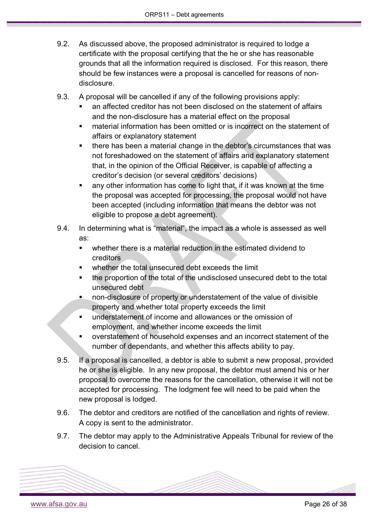- 9.2. As discussed above, the proposed administrator is required to lodge a certificate with the proposal certifying that the he or she has reasonable grounds that all the information required is disclosed. For this reason, there should be few instances were a proposal is cancelled for reasons of nondisclosure.
- 9.3. A proposal will be cancelled if any of the following provisions apply:
	- an affected creditor has not been disclosed on the statement of affairs and the non-disclosure has a material effect on the proposal
	- material information has been omitted or is incorrect on the statement of affairs or explanatory statement
	- there has been a material change in the debtor's circumstances that was not foreshadowed on the statement of affairs and explanatory statement that, in the opinion of the Official Receiver, is capable of affecting a creditor's decision (or several creditors' decisions)
	- any other information has come to light that, if it was known at the time the proposal was accepted for processing, the proposal would not have been accepted (including information that means the debtor was not eligible to propose a debt agreement).
- 9.4. In determining what is "material", the impact as a whole is assessed as well as:
	- whether there is a material reduction in the estimated dividend to creditors
	- whether the total unsecured debt exceeds the limit
	- the proportion of the total of the undisclosed unsecured debt to the total unsecured debt
	- non-disclosure of property or understatement of the value of divisible property and whether total property exceeds the limit
	- understatement of income and allowances or the omission of employment, and whether income exceeds the limit
	- overstatement of household expenses and an incorrect statement of the number of dependants, and whether this affects ability to pay.
- 9.5. If a proposal is cancelled, a debtor is able to submit a new proposal, provided he or she is eligible. In any new proposal, the debtor must amend his or her proposal to overcome the reasons for the cancellation, otherwise it will not be accepted for processing. The lodgment fee will need to be paid when the new proposal is lodged.
- 9.6. The debtor and creditors are notified of the cancellation and rights of review. A copy is sent to the administrator.
- 9.7. The debtor may apply to the Administrative Appeals Tribunal for review of the decision to cancel.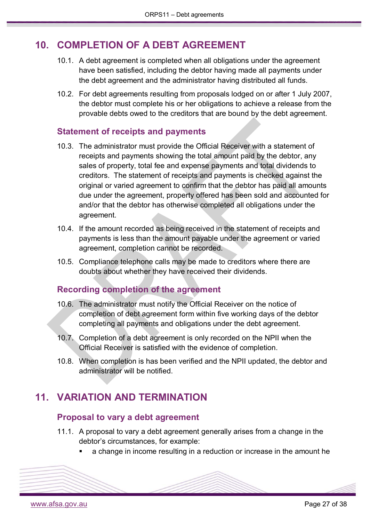## <span id="page-26-0"></span>**10. COMPLETION OF A DEBT AGREEMENT**

- 10.1. A debt agreement is completed when all obligations under the agreement have been satisfied, including the debtor having made all payments under the debt agreement and the administrator having distributed all funds.
- 10.2. For debt agreements resulting from proposals lodged on or after 1 July 2007, the debtor must complete his or her obligations to achieve a release from the provable debts owed to the creditors that are bound by the debt agreement.

### <span id="page-26-1"></span>**Statement of receipts and payments**

- 10.3. The administrator must provide the Official Receiver with a statement of receipts and payments showing the total amount paid by the debtor, any sales of property, total fee and expense payments and total dividends to creditors. The statement of receipts and payments is checked against the original or varied agreement to confirm that the debtor has paid all amounts due under the agreement, property offered has been sold and accounted for and/or that the debtor has otherwise completed all obligations under the agreement.
- 10.4. If the amount recorded as being received in the statement of receipts and payments is less than the amount payable under the agreement or varied agreement, completion cannot be recorded.
- 10.5. Compliance telephone calls may be made to creditors where there are doubts about whether they have received their dividends.

### <span id="page-26-2"></span>**Recording completion of the agreement**

- 10.6. The administrator must notify the Official Receiver on the notice of completion of debt agreement form within five working days of the debtor completing all payments and obligations under the debt agreement.
- 10.7. Completion of a debt agreement is only recorded on the NPII when the Official Receiver is satisfied with the evidence of completion.
- 10.8. When completion is has been verified and the NPII updated, the debtor and administrator will be notified.

### <span id="page-26-4"></span><span id="page-26-3"></span>**11. VARIATION AND TERMINATION**

#### **Proposal to vary a debt agreement**

- 11.1. A proposal to vary a debt agreement generally arises from a change in the debtor's circumstances, for example:
	- a change in income resulting in a reduction or increase in the amount he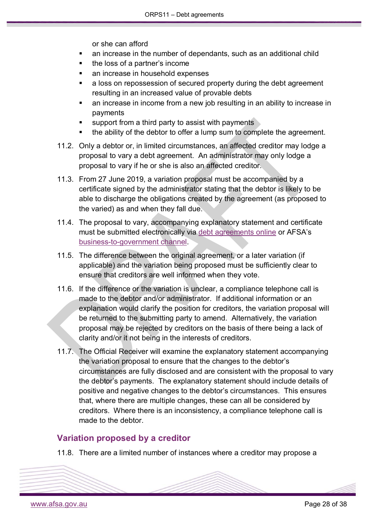or she can afford

- an increase in the number of dependants, such as an additional child
- the loss of a partner's income
- an increase in household expenses
- a loss on repossession of secured property during the debt agreement resulting in an increased value of provable debts
- an increase in income from a new job resulting in an ability to increase in payments
- support from a third party to assist with payments
- the ability of the debtor to offer a lump sum to complete the agreement.
- 11.2. Only a debtor or, in limited circumstances, an affected creditor may lodge a proposal to vary a debt agreement. An administrator may only lodge a proposal to vary if he or she is also an affected creditor.
- 11.3. From 27 June 2019, a variation proposal must be accompanied by a certificate signed by the administrator stating that the debtor is likely to be able to discharge the obligations created by the agreement (as proposed to the varied) as and when they fall due.
- 11.4. The proposal to vary, accompanying explanatory statement and certificate must be submitted electronically via [debt agreements online](https://www.afsa.gov.au/online-services/debt-agreements-online) or AFSA's [business-to-government channel.](https://www.afsa.gov.au/online-services/b2g-system-integration)
- 11.5. The difference between the original agreement, or a later variation (if applicable) and the variation being proposed must be sufficiently clear to ensure that creditors are well informed when they vote.
- 11.6. If the difference or the variation is unclear, a compliance telephone call is made to the debtor and/or administrator. If additional information or an explanation would clarify the position for creditors, the variation proposal will be returned to the submitting party to amend. Alternatively, the variation proposal may be rejected by creditors on the basis of there being a lack of clarity and/or it not being in the interests of creditors.
- 11.7. The Official Receiver will examine the explanatory statement accompanying the variation proposal to ensure that the changes to the debtor's circumstances are fully disclosed and are consistent with the proposal to vary the debtor's payments. The explanatory statement should include details of positive and negative changes to the debtor's circumstances. This ensures that, where there are multiple changes, these can all be considered by creditors. Where there is an inconsistency, a compliance telephone call is made to the debtor.

### <span id="page-27-0"></span>**Variation proposed by a creditor**

11.8. There are a limited number of instances where a creditor may propose a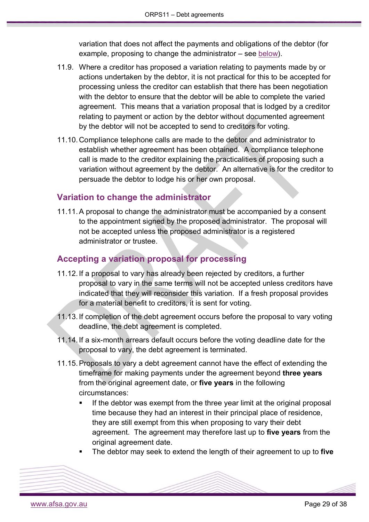variation that does not affect the payments and obligations of the debtor (for example, proposing to change the administrator – see [below\)](#page-28-0).

- 11.9. Where a creditor has proposed a variation relating to payments made by or actions undertaken by the debtor, it is not practical for this to be accepted for processing unless the creditor can establish that there has been negotiation with the debtor to ensure that the debtor will be able to complete the varied agreement. This means that a variation proposal that is lodged by a creditor relating to payment or action by the debtor without documented agreement by the debtor will not be accepted to send to creditors for voting.
- 11.10.Compliance telephone calls are made to the debtor and administrator to establish whether agreement has been obtained. A compliance telephone call is made to the creditor explaining the practicalities of proposing such a variation without agreement by the debtor. An alternative is for the creditor to persuade the debtor to lodge his or her own proposal.

### <span id="page-28-0"></span>**Variation to change the administrator**

11.11.A proposal to change the administrator must be accompanied by a consent to the appointment signed by the proposed administrator. The proposal will not be accepted unless the proposed administrator is a registered administrator or trustee.

#### <span id="page-28-1"></span>**Accepting a variation proposal for processing**

- 11.12. If a proposal to vary has already been rejected by creditors, a further proposal to vary in the same terms will not be accepted unless creditors have indicated that they will reconsider this variation. If a fresh proposal provides for a material benefit to creditors, it is sent for voting.
- 11.13. If completion of the debt agreement occurs before the proposal to vary voting deadline, the debt agreement is completed.
- 11.14. If a six-month arrears default occurs before the voting deadline date for the proposal to vary, the debt agreement is terminated.
- 11.15.Proposals to vary a debt agreement cannot have the effect of extending the timeframe for making payments under the agreement beyond **three years** from the original agreement date, or **five years** in the following circumstances:
	- If the debtor was exempt from the three year limit at the original proposal time because they had an interest in their principal place of residence, they are still exempt from this when proposing to vary their debt agreement. The agreement may therefore last up to **five years** from the original agreement date.
	- The debtor may seek to extend the length of their agreement to up to **five**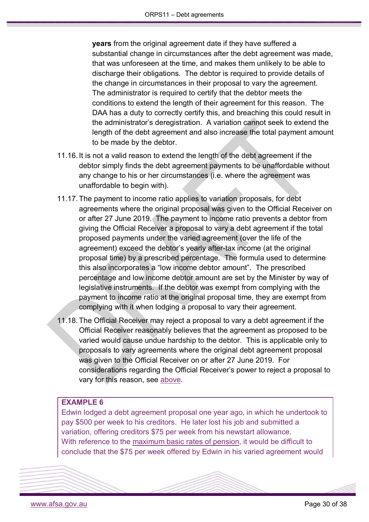**years** from the original agreement date if they have suffered a substantial change in circumstances after the debt agreement was made, that was unforeseen at the time, and makes them unlikely to be able to discharge their obligations. The debtor is required to provide details of the change in circumstances in their proposal to vary the agreement. The administrator is required to certify that the debtor meets the conditions to extend the length of their agreement for this reason. The DAA has a duty to correctly certify this, and breaching this could result in the administrator's deregistration. A variation cannot seek to extend the length of the debt agreement and also increase the total payment amount to be made by the debtor.

- 11.16. It is not a valid reason to extend the length of the debt agreement if the debtor simply finds the debt agreement payments to be unaffordable without any change to his or her circumstances (i.e. where the agreement was unaffordable to begin with).
- 11.17.The payment to income ratio applies to variation proposals, for debt agreements where the original proposal was given to the Official Receiver on or after 27 June 2019. The payment to income ratio prevents a debtor from giving the Official Receiver a proposal to vary a debt agreement if the total proposed payments under the varied agreement (over the life of the agreement) exceed the debtor's yearly after-tax income (at the original proposal time) by a prescribed percentage. The formula used to determine this also incorporates a "low income debtor amount". The prescribed percentage and low income debtor amount are set by the Minister by way of legislative instruments. If the debtor was exempt from complying with the payment to income ratio at the original proposal time, they are exempt from complying with it when lodging a proposal to vary their agreement.
- 11.18.The Official Receiver may reject a proposal to vary a debt agreement if the Official Receiver reasonably believes that the agreement as proposed to be varied would cause undue hardship to the debtor. This is applicable only to proposals to vary agreements where the original debt agreement proposal was given to the Official Receiver on or after 27 June 2019. For considerations regarding the Official Receiver's power to reject a proposal to vary for this reason, see [above.](#page-15-1)

#### **EXAMPLE 6**

Edwin lodged a debt agreement proposal one year ago, in which he undertook to pay \$500 per week to his creditors. He later lost his job and submitted a variation, offering creditors \$75 per week from his newstart allowance. With reference to the [maximum basic rates of pension,](http://guides.dss.gov.au/guide-social-security-law/5/2/2/10#2) it would be difficult to conclude that the \$75 per week offered by Edwin in his varied agreement would

[www.afsa.gov.au](http://www.afsa.gov.au/) Page 30 of 38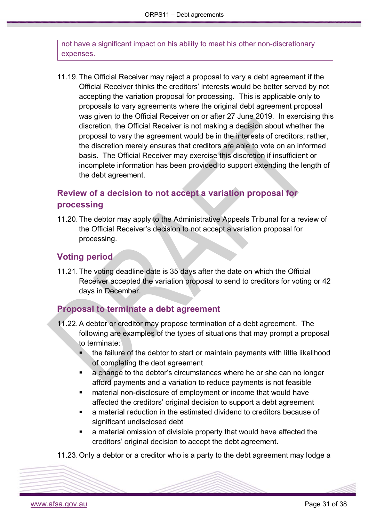not have a significant impact on his ability to meet his other non-discretionary expenses.

11.19.The Official Receiver may reject a proposal to vary a debt agreement if the Official Receiver thinks the creditors' interests would be better served by not accepting the variation proposal for processing. This is applicable only to proposals to vary agreements where the original debt agreement proposal was given to the Official Receiver on or after 27 June 2019. In exercising this discretion, the Official Receiver is not making a decision about whether the proposal to vary the agreement would be in the interests of creditors; rather, the discretion merely ensures that creditors are able to vote on an informed basis. The Official Receiver may exercise this discretion if insufficient or incomplete information has been provided to support extending the length of the debt agreement.

### <span id="page-30-0"></span>**Review of a decision to not accept a variation proposal for processing**

11.20.The debtor may apply to the Administrative Appeals Tribunal for a review of the Official Receiver's decision to not accept a variation proposal for processing.

### <span id="page-30-1"></span>**Voting period**

11.21.The voting deadline date is 35 days after the date on which the Official Receiver accepted the variation proposal to send to creditors for voting or 42 days in December.

### <span id="page-30-2"></span>**Proposal to terminate a debt agreement**

- 11.22.A debtor or creditor may propose termination of a debt agreement. The following are examples of the types of situations that may prompt a proposal to terminate:
	- the failure of the debtor to start or maintain payments with little likelihood of completing the debt agreement
	- a change to the debtor's circumstances where he or she can no longer afford payments and a variation to reduce payments is not feasible
	- material non-disclosure of employment or income that would have affected the creditors' original decision to support a debt agreement
	- a material reduction in the estimated dividend to creditors because of significant undisclosed debt
	- a material omission of divisible property that would have affected the creditors' original decision to accept the debt agreement.

11.23.Only a debtor or a creditor who is a party to the debt agreement may lodge a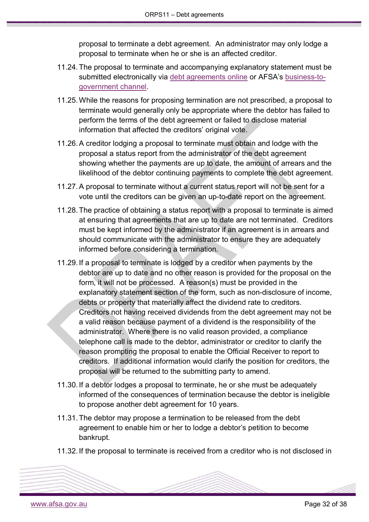proposal to terminate a debt agreement. An administrator may only lodge a proposal to terminate when he or she is an affected creditor.

- 11.24.The proposal to terminate and accompanying explanatory statement must be submitted electronically via [debt agreements online](https://www.afsa.gov.au/online-services/debt-agreements-online) or AFSA's [business-to](https://www.afsa.gov.au/online-services/b2g-system-integration)[government channel.](https://www.afsa.gov.au/online-services/b2g-system-integration)
- 11.25.While the reasons for proposing termination are not prescribed, a proposal to terminate would generally only be appropriate where the debtor has failed to perform the terms of the debt agreement or failed to disclose material information that affected the creditors' original vote.
- 11.26.A creditor lodging a proposal to terminate must obtain and lodge with the proposal a status report from the administrator of the debt agreement showing whether the payments are up to date, the amount of arrears and the likelihood of the debtor continuing payments to complete the debt agreement.
- 11.27.A proposal to terminate without a current status report will not be sent for a vote until the creditors can be given an up-to-date report on the agreement.
- 11.28.The practice of obtaining a status report with a proposal to terminate is aimed at ensuring that agreements that are up to date are not terminated. Creditors must be kept informed by the administrator if an agreement is in arrears and should communicate with the administrator to ensure they are adequately informed before considering a termination.
- 11.29. If a proposal to terminate is lodged by a creditor when payments by the debtor are up to date and no other reason is provided for the proposal on the form, it will not be processed. A reason(s) must be provided in the explanatory statement section of the form, such as non-disclosure of income, debts or property that materially affect the dividend rate to creditors. Creditors not having received dividends from the debt agreement may not be a valid reason because payment of a dividend is the responsibility of the administrator. Where there is no valid reason provided, a compliance telephone call is made to the debtor, administrator or creditor to clarify the reason prompting the proposal to enable the Official Receiver to report to creditors. If additional information would clarify the position for creditors, the proposal will be returned to the submitting party to amend.
- 11.30. If a debtor lodges a proposal to terminate, he or she must be adequately informed of the consequences of termination because the debtor is ineligible to propose another debt agreement for 10 years.
- 11.31.The debtor may propose a termination to be released from the debt agreement to enable him or her to lodge a debtor's petition to become bankrupt.
- 11.32. If the proposal to terminate is received from a creditor who is not disclosed in

[www.afsa.gov.au](http://www.afsa.gov.au/) Page 32 of 38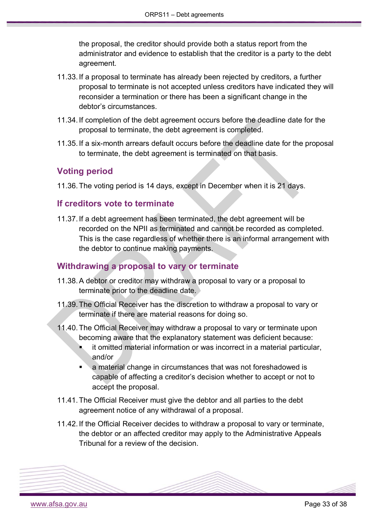the proposal, the creditor should provide both a status report from the administrator and evidence to establish that the creditor is a party to the debt agreement.

- 11.33. If a proposal to terminate has already been rejected by creditors, a further proposal to terminate is not accepted unless creditors have indicated they will reconsider a termination or there has been a significant change in the debtor's circumstances.
- 11.34. If completion of the debt agreement occurs before the deadline date for the proposal to terminate, the debt agreement is completed.
- 11.35. If a six-month arrears default occurs before the deadline date for the proposal to terminate, the debt agreement is terminated on that basis.

### <span id="page-32-0"></span>**Voting period**

11.36.The voting period is 14 days, except in December when it is 21 days.

### <span id="page-32-1"></span>**If creditors vote to terminate**

11.37. If a debt agreement has been terminated, the debt agreement will be recorded on the NPII as terminated and cannot be recorded as completed. This is the case regardless of whether there is an informal arrangement with the debtor to continue making payments.

### <span id="page-32-2"></span>**Withdrawing a proposal to vary or terminate**

- 11.38.A debtor or creditor may withdraw a proposal to vary or a proposal to terminate prior to the deadline date.
- 11.39.The Official Receiver has the discretion to withdraw a proposal to vary or terminate if there are material reasons for doing so.
- 11.40.The Official Receiver may withdraw a proposal to vary or terminate upon becoming aware that the explanatory statement was deficient because:
	- it omitted material information or was incorrect in a material particular, and/or
	- a material change in circumstances that was not foreshadowed is capable of affecting a creditor's decision whether to accept or not to accept the proposal.
- 11.41.The Official Receiver must give the debtor and all parties to the debt agreement notice of any withdrawal of a proposal.
- 11.42. If the Official Receiver decides to withdraw a proposal to vary or terminate, the debtor or an affected creditor may apply to the Administrative Appeals Tribunal for a review of the decision.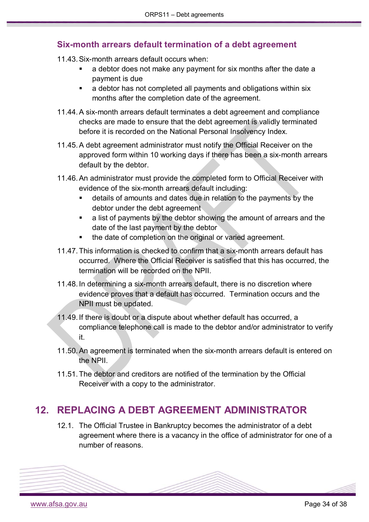### <span id="page-33-0"></span>**Six-month arrears default termination of a debt agreement**

11.43.Six-month arrears default occurs when:

- a debtor does not make any payment for six months after the date a payment is due
- a debtor has not completed all payments and obligations within six months after the completion date of the agreement.
- 11.44.A six-month arrears default terminates a debt agreement and compliance checks are made to ensure that the debt agreement is validly terminated before it is recorded on the National Personal Insolvency Index.
- 11.45.A debt agreement administrator must notify the Official Receiver on the approved form within 10 working days if there has been a six-month arrears default by the debtor.
- 11.46.An administrator must provide the completed form to Official Receiver with evidence of the six-month arrears default including:
	- details of amounts and dates due in relation to the payments by the debtor under the debt agreement
	- a list of payments by the debtor showing the amount of arrears and the date of the last payment by the debtor
	- the date of completion on the original or varied agreement.
- 11.47.This information is checked to confirm that a six-month arrears default has occurred. Where the Official Receiver is satisfied that this has occurred, the termination will be recorded on the NPII.
- 11.48. In determining a six-month arrears default, there is no discretion where evidence proves that a default has occurred. Termination occurs and the NPII must be updated.
- 11.49. If there is doubt or a dispute about whether default has occurred, a compliance telephone call is made to the debtor and/or administrator to verify it.
- 11.50.An agreement is terminated when the six-month arrears default is entered on the NPII.
- 11.51.The debtor and creditors are notified of the termination by the Official Receiver with a copy to the administrator.

# <span id="page-33-1"></span>**12. REPLACING A DEBT AGREEMENT ADMINISTRATOR**

12.1. The Official Trustee in Bankruptcy becomes the administrator of a debt agreement where there is a vacancy in the office of administrator for one of a number of reasons.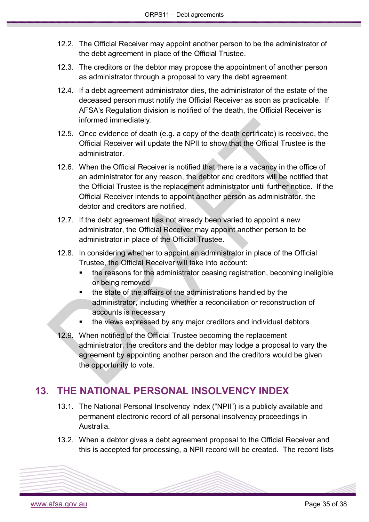- 12.2. The Official Receiver may appoint another person to be the administrator of the debt agreement in place of the Official Trustee.
- 12.3. The creditors or the debtor may propose the appointment of another person as administrator through a proposal to vary the debt agreement.
- 12.4. If a debt agreement administrator dies, the administrator of the estate of the deceased person must notify the Official Receiver as soon as practicable. If AFSA's Regulation division is notified of the death, the Official Receiver is informed immediately.
- 12.5. Once evidence of death (e.g. a copy of the death certificate) is received, the Official Receiver will update the NPII to show that the Official Trustee is the administrator.
- 12.6. When the Official Receiver is notified that there is a vacancy in the office of an administrator for any reason, the debtor and creditors will be notified that the Official Trustee is the replacement administrator until further notice. If the Official Receiver intends to appoint another person as administrator, the debtor and creditors are notified.
- 12.7. If the debt agreement has not already been varied to appoint a new administrator, the Official Receiver may appoint another person to be administrator in place of the Official Trustee.
- 12.8. In considering whether to appoint an administrator in place of the Official Trustee, the Official Receiver will take into account:
	- the reasons for the administrator ceasing registration, becoming ineligible or being removed
	- the state of the affairs of the administrations handled by the administrator, including whether a reconciliation or reconstruction of accounts is necessary
	- the views expressed by any major creditors and individual debtors.
- 12.9. When notified of the Official Trustee becoming the replacement administrator, the creditors and the debtor may lodge a proposal to vary the agreement by appointing another person and the creditors would be given the opportunity to vote.

# <span id="page-34-0"></span>**13. THE NATIONAL PERSONAL INSOLVENCY INDEX**

- 13.1. The National Personal Insolvency Index ("NPII") is a publicly available and permanent electronic record of all personal insolvency proceedings in Australia.
- 13.2. When a debtor gives a debt agreement proposal to the Official Receiver and this is accepted for processing, a NPII record will be created. The record lists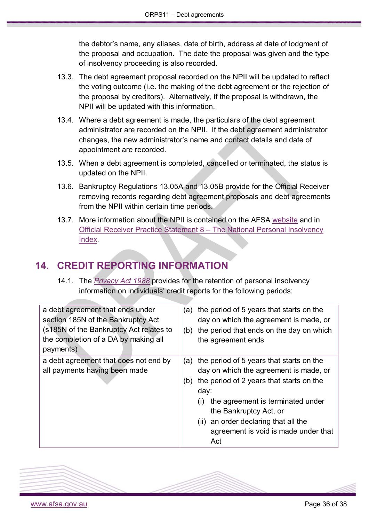the debtor's name, any aliases, date of birth, address at date of lodgment of the proposal and occupation. The date the proposal was given and the type of insolvency proceeding is also recorded.

- 13.3. The debt agreement proposal recorded on the NPII will be updated to reflect the voting outcome (i.e. the making of the debt agreement or the rejection of the proposal by creditors). Alternatively, if the proposal is withdrawn, the NPII will be updated with this information.
- 13.4. Where a debt agreement is made, the particulars of the debt agreement administrator are recorded on the NPII. If the debt agreement administrator changes, the new administrator's name and contact details and date of appointment are recorded.
- 13.5. When a debt agreement is completed, cancelled or terminated, the status is updated on the NPII.
- 13.6. Bankruptcy Regulations 13.05A and 13.05B provide for the Official Receiver removing records regarding debt agreement proposals and debt agreements from the NPII within certain time periods.
- 13.7. More information about the NPII is contained on the AFSA [website](https://www.afsa.gov.au/online-services/bankruptcy-register-search/what-npii) and in [Official Receiver Practice Statement 8 –](https://www.afsa.gov.au/sites/g/files/net1601/f/orps8.pdf) The National Personal Insolvency [Index.](https://www.afsa.gov.au/sites/g/files/net1601/f/orps8.pdf)

# <span id="page-35-0"></span>**14. CREDIT REPORTING INFORMATION**

14.1. The *[Privacy Act 1988](https://www.legislation.gov.au/Series/C2004A03712)* provides for the retention of personal insolvency information on individuals' credit reports for the following periods:

| a debt agreement that ends under<br>section 185N of the Bankruptcy Act<br>(s185N of the Bankruptcy Act relates to<br>the completion of a DA by making all<br>payments) | the period of 5 years that starts on the<br>(a)<br>day on which the agreement is made, or<br>the period that ends on the day on which<br>(b)<br>the agreement ends                                                                                                                                                |
|------------------------------------------------------------------------------------------------------------------------------------------------------------------------|-------------------------------------------------------------------------------------------------------------------------------------------------------------------------------------------------------------------------------------------------------------------------------------------------------------------|
| a debt agreement that does not end by<br>all payments having been made                                                                                                 | the period of 5 years that starts on the<br>(a)<br>day on which the agreement is made, or<br>the period of 2 years that starts on the<br>(b)<br>day:<br>the agreement is terminated under<br>(i)<br>the Bankruptcy Act, or<br>(ii) an order declaring that all the<br>agreement is void is made under that<br>Act |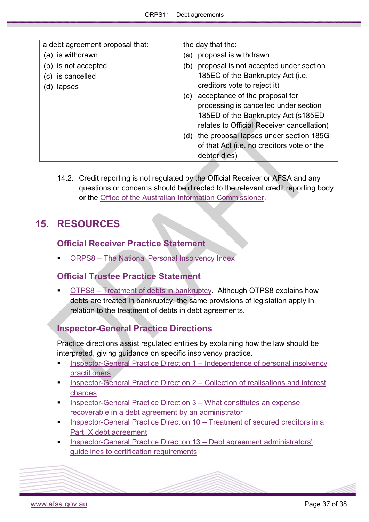| a debt agreement proposal that: | the day that the:                             |
|---------------------------------|-----------------------------------------------|
| (a) is withdrawn                | proposal is withdrawn<br>(a)                  |
| (b) is not accepted             | proposal is not accepted under section<br>(b) |
| (c) is cancelled                | 185EC of the Bankruptcy Act (i.e.             |
| lapses<br>(d)                   | creditors vote to reject it)                  |
|                                 | acceptance of the proposal for<br>(C)         |
|                                 | processing is cancelled under section         |
|                                 | 185ED of the Bankruptcy Act (s185ED           |
|                                 | relates to Official Receiver cancellation)    |
|                                 | the proposal lapses under section 185G<br>(d) |
|                                 | of that Act (i.e. no creditors vote or the    |
|                                 | debtor dies)                                  |

14.2. Credit reporting is not regulated by the Official Receiver or AFSA and any questions or concerns should be directed to the relevant credit reporting body or the [Office of the Australian Information Commissioner.](https://www.oaic.gov.au/about-us/contact-us)

## <span id="page-36-1"></span><span id="page-36-0"></span>**15. RESOURCES**

### **Official Receiver Practice Statement**

ORPS8 – [The National Personal Insolvency Index](https://www.afsa.gov.au/sites/default/files/orps8.pdf)

### <span id="page-36-2"></span>**Official Trustee Practice Statement**

 OTPS8 – [Treatment of debts in bankruptcy.](https://www.afsa.gov.au/sites/g/files/net1601/f/otps8.pdf) Although OTPS8 explains how debts are treated in bankruptcy, the same provisions of legislation apply in relation to the treatment of debts in debt agreements.

### <span id="page-36-3"></span>**Inspector-General Practice Directions**

Practice directions assist regulated entities by explaining how the law should be interpreted, giving guidance on specific insolvency practice.

- [Inspector-General Practice Direction 1](https://www.afsa.gov.au/node/10011) Independence of personal insolvency [practitioners](https://www.afsa.gov.au/node/10011)
- [Inspector-General Practice Direction 2](https://www.afsa.gov.au/node/3316) Collection of realisations and interest [charges](https://www.afsa.gov.au/node/3316)
- [Inspector-General Practice Direction 3](https://www.afsa.gov.au/node/3321) What constitutes an expense [recoverable in a debt agreement by an administrator](https://www.afsa.gov.au/node/3321)
- [Inspector-General Practice Direction 10](https://www.afsa.gov.au/node/3331) Treatment of secured creditors in a [Part IX debt agreement](https://www.afsa.gov.au/node/3331)
- [Inspector-General Practice Direction 13](https://www.afsa.gov.au/about-us/practices/inspector-general-practice-directions/inspector-general-practice-direction-13) Debt agreement administrators' [guidelines to certification requirements](https://www.afsa.gov.au/about-us/practices/inspector-general-practice-directions/inspector-general-practice-direction-13)